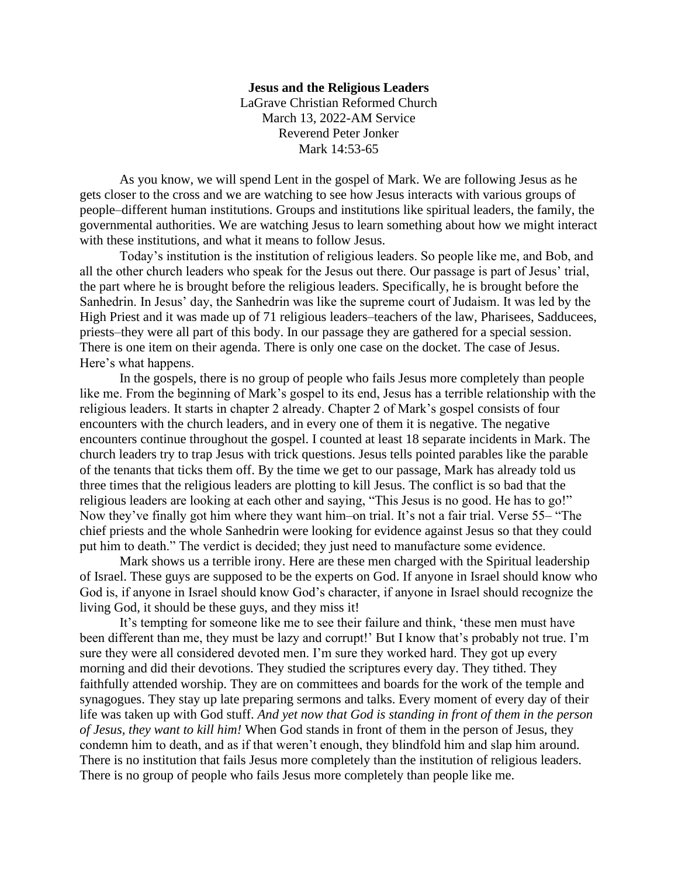## **Jesus and the Religious Leaders**

LaGrave Christian Reformed Church March 13, 2022-AM Service Reverend Peter Jonker Mark 14:53-65

As you know, we will spend Lent in the gospel of Mark. We are following Jesus as he gets closer to the cross and we are watching to see how Jesus interacts with various groups of people–different human institutions. Groups and institutions like spiritual leaders, the family, the governmental authorities. We are watching Jesus to learn something about how we might interact with these institutions, and what it means to follow Jesus.

Today's institution is the institution of religious leaders. So people like me, and Bob, and all the other church leaders who speak for the Jesus out there. Our passage is part of Jesus' trial, the part where he is brought before the religious leaders. Specifically, he is brought before the Sanhedrin. In Jesus' day, the Sanhedrin was like the supreme court of Judaism. It was led by the High Priest and it was made up of 71 religious leaders–teachers of the law, Pharisees, Sadducees, priests–they were all part of this body. In our passage they are gathered for a special session. There is one item on their agenda. There is only one case on the docket. The case of Jesus. Here's what happens.

In the gospels, there is no group of people who fails Jesus more completely than people like me. From the beginning of Mark's gospel to its end, Jesus has a terrible relationship with the religious leaders. It starts in chapter 2 already. Chapter 2 of Mark's gospel consists of four encounters with the church leaders, and in every one of them it is negative. The negative encounters continue throughout the gospel. I counted at least 18 separate incidents in Mark. The church leaders try to trap Jesus with trick questions. Jesus tells pointed parables like the parable of the tenants that ticks them off. By the time we get to our passage, Mark has already told us three times that the religious leaders are plotting to kill Jesus. The conflict is so bad that the religious leaders are looking at each other and saying, "This Jesus is no good. He has to go!" Now they've finally got him where they want him–on trial. It's not a fair trial. Verse 55– "The chief priests and the whole Sanhedrin were looking for evidence against Jesus so that they could put him to death." The verdict is decided; they just need to manufacture some evidence.

Mark shows us a terrible irony. Here are these men charged with the Spiritual leadership of Israel. These guys are supposed to be the experts on God. If anyone in Israel should know who God is, if anyone in Israel should know God's character, if anyone in Israel should recognize the living God, it should be these guys, and they miss it!

It's tempting for someone like me to see their failure and think, 'these men must have been different than me, they must be lazy and corrupt!' But I know that's probably not true. I'm sure they were all considered devoted men. I'm sure they worked hard. They got up every morning and did their devotions. They studied the scriptures every day. They tithed. They faithfully attended worship. They are on committees and boards for the work of the temple and synagogues. They stay up late preparing sermons and talks. Every moment of every day of their life was taken up with God stuff. *And yet now that God is standing in front of them in the person of Jesus, they want to kill him!* When God stands in front of them in the person of Jesus, they condemn him to death, and as if that weren't enough, they blindfold him and slap him around. There is no institution that fails Jesus more completely than the institution of religious leaders. There is no group of people who fails Jesus more completely than people like me.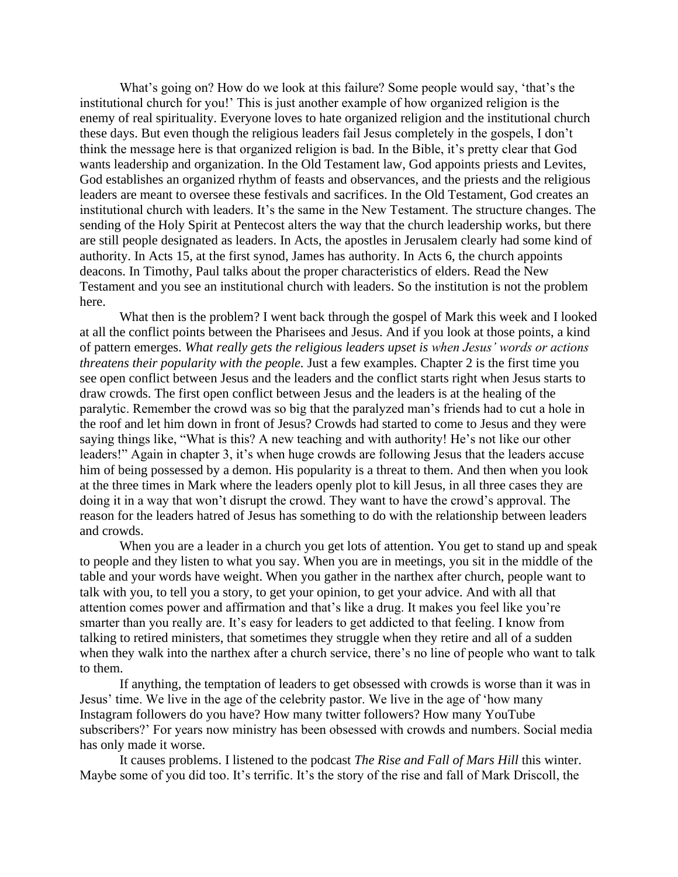What's going on? How do we look at this failure? Some people would say, 'that's the institutional church for you!' This is just another example of how organized religion is the enemy of real spirituality. Everyone loves to hate organized religion and the institutional church these days. But even though the religious leaders fail Jesus completely in the gospels, I don't think the message here is that organized religion is bad. In the Bible, it's pretty clear that God wants leadership and organization. In the Old Testament law, God appoints priests and Levites, God establishes an organized rhythm of feasts and observances, and the priests and the religious leaders are meant to oversee these festivals and sacrifices. In the Old Testament, God creates an institutional church with leaders. It's the same in the New Testament. The structure changes. The sending of the Holy Spirit at Pentecost alters the way that the church leadership works, but there are still people designated as leaders. In Acts, the apostles in Jerusalem clearly had some kind of authority. In Acts 15, at the first synod, James has authority. In Acts 6, the church appoints deacons. In Timothy, Paul talks about the proper characteristics of elders. Read the New Testament and you see an institutional church with leaders. So the institution is not the problem here.

What then is the problem? I went back through the gospel of Mark this week and I looked at all the conflict points between the Pharisees and Jesus. And if you look at those points, a kind of pattern emerges. *What really gets the religious leaders upset is when Jesus' words or actions threatens their popularity with the people.* Just a few examples. Chapter 2 is the first time you see open conflict between Jesus and the leaders and the conflict starts right when Jesus starts to draw crowds. The first open conflict between Jesus and the leaders is at the healing of the paralytic. Remember the crowd was so big that the paralyzed man's friends had to cut a hole in the roof and let him down in front of Jesus? Crowds had started to come to Jesus and they were saying things like, "What is this? A new teaching and with authority! He's not like our other leaders!" Again in chapter 3, it's when huge crowds are following Jesus that the leaders accuse him of being possessed by a demon. His popularity is a threat to them. And then when you look at the three times in Mark where the leaders openly plot to kill Jesus, in all three cases they are doing it in a way that won't disrupt the crowd. They want to have the crowd's approval. The reason for the leaders hatred of Jesus has something to do with the relationship between leaders and crowds.

When you are a leader in a church you get lots of attention. You get to stand up and speak to people and they listen to what you say. When you are in meetings, you sit in the middle of the table and your words have weight. When you gather in the narthex after church, people want to talk with you, to tell you a story, to get your opinion, to get your advice. And with all that attention comes power and affirmation and that's like a drug. It makes you feel like you're smarter than you really are. It's easy for leaders to get addicted to that feeling. I know from talking to retired ministers, that sometimes they struggle when they retire and all of a sudden when they walk into the narthex after a church service, there's no line of people who want to talk to them.

If anything, the temptation of leaders to get obsessed with crowds is worse than it was in Jesus' time. We live in the age of the celebrity pastor. We live in the age of 'how many Instagram followers do you have? How many twitter followers? How many YouTube subscribers?' For years now ministry has been obsessed with crowds and numbers. Social media has only made it worse.

It causes problems. I listened to the podcast *The Rise and Fall of Mars Hill* this winter. Maybe some of you did too. It's terrific. It's the story of the rise and fall of Mark Driscoll, the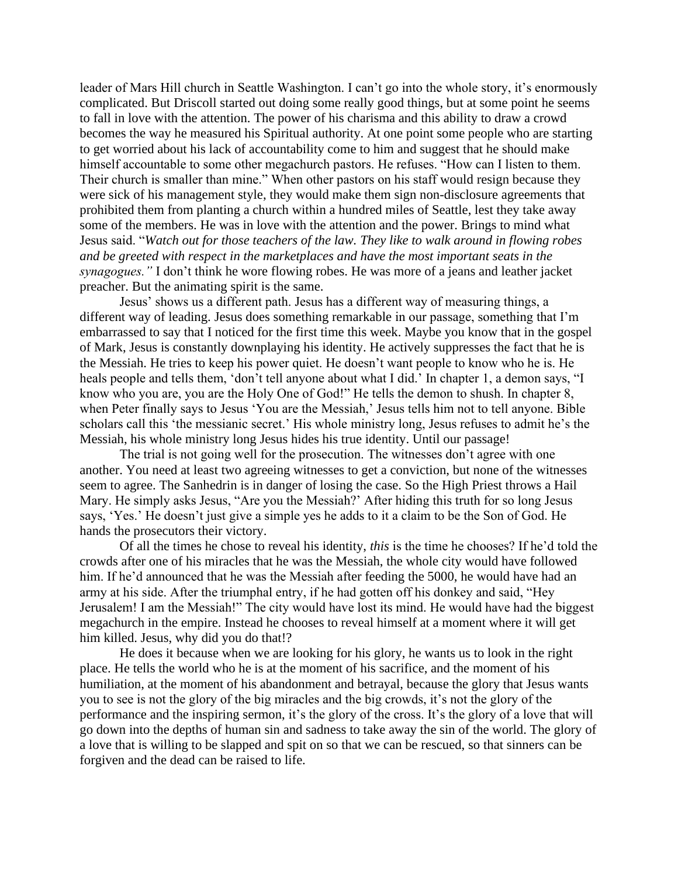leader of Mars Hill church in Seattle Washington. I can't go into the whole story, it's enormously complicated. But Driscoll started out doing some really good things, but at some point he seems to fall in love with the attention. The power of his charisma and this ability to draw a crowd becomes the way he measured his Spiritual authority. At one point some people who are starting to get worried about his lack of accountability come to him and suggest that he should make himself accountable to some other megachurch pastors. He refuses. "How can I listen to them. Their church is smaller than mine." When other pastors on his staff would resign because they were sick of his management style, they would make them sign non-disclosure agreements that prohibited them from planting a church within a hundred miles of Seattle, lest they take away some of the members. He was in love with the attention and the power. Brings to mind what Jesus said. "*Watch out for those teachers of the law. They like to walk around in flowing robes and be greeted with respect in the marketplaces and have the most important seats in the synagogues."* I don't think he wore flowing robes. He was more of a jeans and leather jacket preacher. But the animating spirit is the same.

Jesus' shows us a different path. Jesus has a different way of measuring things, a different way of leading. Jesus does something remarkable in our passage, something that I'm embarrassed to say that I noticed for the first time this week. Maybe you know that in the gospel of Mark, Jesus is constantly downplaying his identity. He actively suppresses the fact that he is the Messiah. He tries to keep his power quiet. He doesn't want people to know who he is. He heals people and tells them, 'don't tell anyone about what I did.' In chapter 1, a demon says, "I know who you are, you are the Holy One of God!" He tells the demon to shush. In chapter 8, when Peter finally says to Jesus 'You are the Messiah,' Jesus tells him not to tell anyone. Bible scholars call this 'the messianic secret.' His whole ministry long, Jesus refuses to admit he's the Messiah, his whole ministry long Jesus hides his true identity. Until our passage!

The trial is not going well for the prosecution. The witnesses don't agree with one another. You need at least two agreeing witnesses to get a conviction, but none of the witnesses seem to agree. The Sanhedrin is in danger of losing the case. So the High Priest throws a Hail Mary. He simply asks Jesus, "Are you the Messiah?' After hiding this truth for so long Jesus says, 'Yes.' He doesn't just give a simple yes he adds to it a claim to be the Son of God. He hands the prosecutors their victory.

Of all the times he chose to reveal his identity, *this* is the time he chooses? If he'd told the crowds after one of his miracles that he was the Messiah, the whole city would have followed him. If he'd announced that he was the Messiah after feeding the 5000, he would have had an army at his side. After the triumphal entry, if he had gotten off his donkey and said, "Hey Jerusalem! I am the Messiah!" The city would have lost its mind. He would have had the biggest megachurch in the empire. Instead he chooses to reveal himself at a moment where it will get him killed. Jesus, why did you do that!?

He does it because when we are looking for his glory, he wants us to look in the right place. He tells the world who he is at the moment of his sacrifice, and the moment of his humiliation, at the moment of his abandonment and betrayal, because the glory that Jesus wants you to see is not the glory of the big miracles and the big crowds, it's not the glory of the performance and the inspiring sermon, it's the glory of the cross. It's the glory of a love that will go down into the depths of human sin and sadness to take away the sin of the world. The glory of a love that is willing to be slapped and spit on so that we can be rescued, so that sinners can be forgiven and the dead can be raised to life.